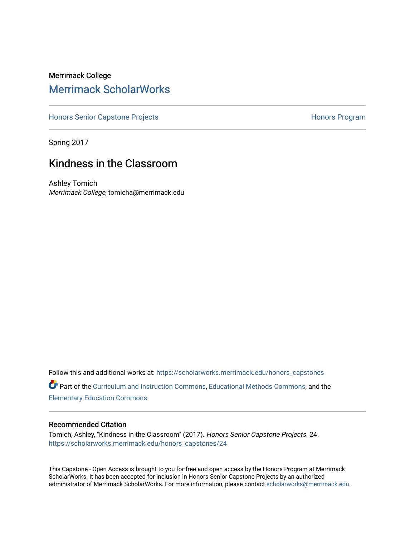## Merrimack College [Merrimack ScholarWorks](https://scholarworks.merrimack.edu/)

[Honors Senior Capstone Projects](https://scholarworks.merrimack.edu/honors_capstones) **Honors Program** Honors Program

Spring 2017

# Kindness in the Classroom

Ashley Tomich Merrimack College, tomicha@merrimack.edu

Follow this and additional works at: [https://scholarworks.merrimack.edu/honors\\_capstones](https://scholarworks.merrimack.edu/honors_capstones?utm_source=scholarworks.merrimack.edu%2Fhonors_capstones%2F24&utm_medium=PDF&utm_campaign=PDFCoverPages) Part of the [Curriculum and Instruction Commons,](http://network.bepress.com/hgg/discipline/786?utm_source=scholarworks.merrimack.edu%2Fhonors_capstones%2F24&utm_medium=PDF&utm_campaign=PDFCoverPages) [Educational Methods Commons,](http://network.bepress.com/hgg/discipline/1227?utm_source=scholarworks.merrimack.edu%2Fhonors_capstones%2F24&utm_medium=PDF&utm_campaign=PDFCoverPages) and the [Elementary Education Commons](http://network.bepress.com/hgg/discipline/1378?utm_source=scholarworks.merrimack.edu%2Fhonors_capstones%2F24&utm_medium=PDF&utm_campaign=PDFCoverPages)

#### Recommended Citation

Tomich, Ashley, "Kindness in the Classroom" (2017). Honors Senior Capstone Projects. 24. [https://scholarworks.merrimack.edu/honors\\_capstones/24](https://scholarworks.merrimack.edu/honors_capstones/24?utm_source=scholarworks.merrimack.edu%2Fhonors_capstones%2F24&utm_medium=PDF&utm_campaign=PDFCoverPages) 

This Capstone - Open Access is brought to you for free and open access by the Honors Program at Merrimack ScholarWorks. It has been accepted for inclusion in Honors Senior Capstone Projects by an authorized administrator of Merrimack ScholarWorks. For more information, please contact [scholarworks@merrimack.edu](mailto:scholarworks@merrimack.edu).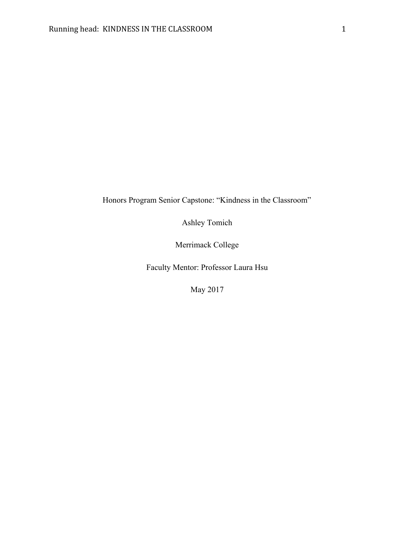Honors Program Senior Capstone: "Kindness in the Classroom"

Ashley Tomich

Merrimack College

Faculty Mentor: Professor Laura Hsu

May 2017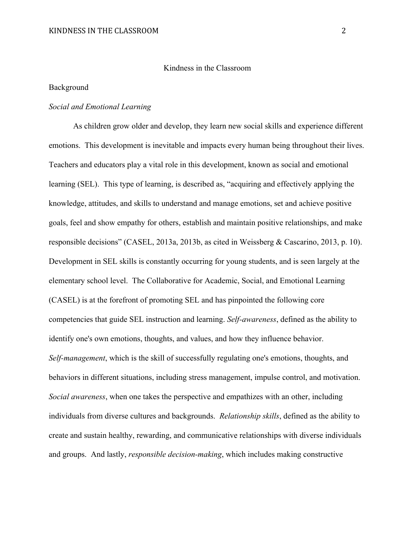#### Kindness in the Classroom

#### Background

#### *Social and Emotional Learning*

As children grow older and develop, they learn new social skills and experience different emotions. This development is inevitable and impacts every human being throughout their lives. Teachers and educators play a vital role in this development, known as social and emotional learning (SEL). This type of learning, is described as, "acquiring and effectively applying the knowledge, attitudes, and skills to understand and manage emotions, set and achieve positive goals, feel and show empathy for others, establish and maintain positive relationships, and make responsible decisions" (CASEL, 2013a, 2013b, as cited in Weissberg & Cascarino, 2013, p. 10). Development in SEL skills is constantly occurring for young students, and is seen largely at the elementary school level. The Collaborative for Academic, Social, and Emotional Learning (CASEL) is at the forefront of promoting SEL and has pinpointed the following core competencies that guide SEL instruction and learning. *Self-awareness*, defined as the ability to identify one's own emotions, thoughts, and values, and how they influence behavior. *Self-management*, which is the skill of successfully regulating one's emotions, thoughts, and behaviors in different situations, including stress management, impulse control, and motivation. *Social awareness*, when one takes the perspective and empathizes with an other, including individuals from diverse cultures and backgrounds. *Relationship skills*, defined as the ability to create and sustain healthy, rewarding, and communicative relationships with diverse individuals and groups. And lastly, *responsible decision-making*, which includes making constructive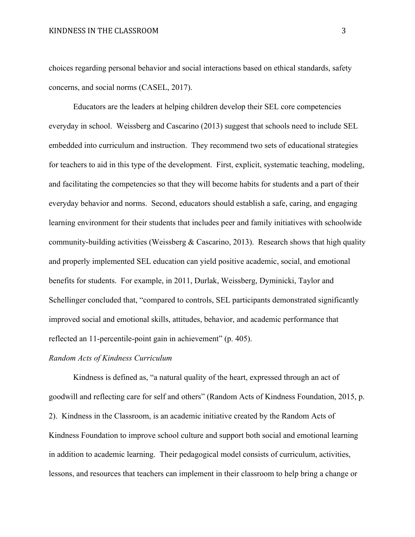choices regarding personal behavior and social interactions based on ethical standards, safety concerns, and social norms (CASEL, 2017).

Educators are the leaders at helping children develop their SEL core competencies everyday in school. Weissberg and Cascarino (2013) suggest that schools need to include SEL embedded into curriculum and instruction. They recommend two sets of educational strategies for teachers to aid in this type of the development. First, explicit, systematic teaching, modeling, and facilitating the competencies so that they will become habits for students and a part of their everyday behavior and norms. Second, educators should establish a safe, caring, and engaging learning environment for their students that includes peer and family initiatives with schoolwide community-building activities (Weissberg & Cascarino, 2013). Research shows that high quality and properly implemented SEL education can yield positive academic, social, and emotional benefits for students. For example, in 2011, Durlak, Weissberg, Dyminicki, Taylor and Schellinger concluded that, "compared to controls, SEL participants demonstrated significantly improved social and emotional skills, attitudes, behavior, and academic performance that reflected an 11-percentile-point gain in achievement" (p. 405).

#### *Random Acts of Kindness Curriculum*

Kindness is defined as, "a natural quality of the heart, expressed through an act of goodwill and reflecting care for self and others" (Random Acts of Kindness Foundation, 2015, p. 2). Kindness in the Classroom, is an academic initiative created by the Random Acts of Kindness Foundation to improve school culture and support both social and emotional learning in addition to academic learning. Their pedagogical model consists of curriculum, activities, lessons, and resources that teachers can implement in their classroom to help bring a change or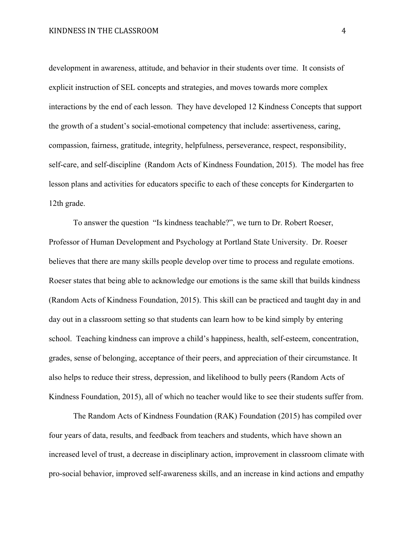development in awareness, attitude, and behavior in their students over time. It consists of explicit instruction of SEL concepts and strategies, and moves towards more complex interactions by the end of each lesson. They have developed 12 Kindness Concepts that support the growth of a student's social-emotional competency that include: assertiveness, caring, compassion, fairness, gratitude, integrity, helpfulness, perseverance, respect, responsibility, self-care, and self-discipline (Random Acts of Kindness Foundation, 2015). The model has free lesson plans and activities for educators specific to each of these concepts for Kindergarten to 12th grade.

To answer the question "Is kindness teachable?", we turn to Dr. Robert Roeser, Professor of Human Development and Psychology at Portland State University. Dr. Roeser believes that there are many skills people develop over time to process and regulate emotions. Roeser states that being able to acknowledge our emotions is the same skill that builds kindness (Random Acts of Kindness Foundation, 2015). This skill can be practiced and taught day in and day out in a classroom setting so that students can learn how to be kind simply by entering school. Teaching kindness can improve a child's happiness, health, self-esteem, concentration, grades, sense of belonging, acceptance of their peers, and appreciation of their circumstance. It also helps to reduce their stress, depression, and likelihood to bully peers (Random Acts of Kindness Foundation, 2015), all of which no teacher would like to see their students suffer from.

The Random Acts of Kindness Foundation (RAK) Foundation (2015) has compiled over four years of data, results, and feedback from teachers and students, which have shown an increased level of trust, a decrease in disciplinary action, improvement in classroom climate with pro-social behavior, improved self-awareness skills, and an increase in kind actions and empathy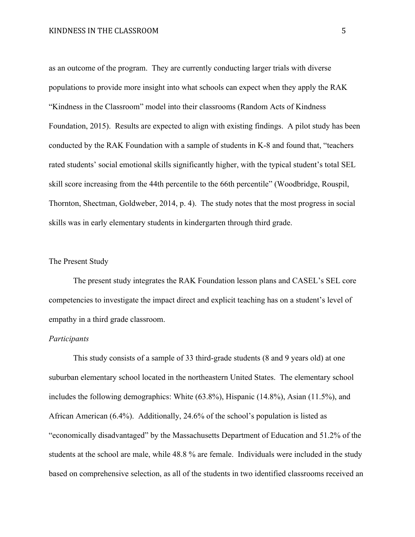#### KINDNESS IN THE CLASSROOM 5

as an outcome of the program. They are currently conducting larger trials with diverse populations to provide more insight into what schools can expect when they apply the RAK "Kindness in the Classroom" model into their classrooms (Random Acts of Kindness Foundation, 2015). Results are expected to align with existing findings. A pilot study has been conducted by the RAK Foundation with a sample of students in K-8 and found that, "teachers rated students' social emotional skills significantly higher, with the typical student's total SEL skill score increasing from the 44th percentile to the 66th percentile" (Woodbridge, Rouspil, Thornton, Shectman, Goldweber, 2014, p. 4). The study notes that the most progress in social skills was in early elementary students in kindergarten through third grade.

#### The Present Study

The present study integrates the RAK Foundation lesson plans and CASEL's SEL core competencies to investigate the impact direct and explicit teaching has on a student's level of empathy in a third grade classroom.

#### *Participants*

This study consists of a sample of 33 third-grade students (8 and 9 years old) at one suburban elementary school located in the northeastern United States. The elementary school includes the following demographics: White (63.8%), Hispanic (14.8%), Asian (11.5%), and African American (6.4%). Additionally, 24.6% of the school's population is listed as "economically disadvantaged" by the Massachusetts Department of Education and 51.2% of the students at the school are male, while 48.8 % are female. Individuals were included in the study based on comprehensive selection, as all of the students in two identified classrooms received an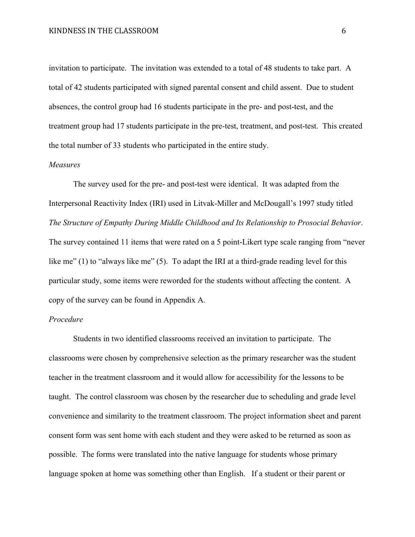invitation to participate. The invitation was extended to a total of 48 students to take part. A total of 42 students participated with signed parental consent and child assent. Due to student absences, the control group had 16 students participate in the pre- and post-test, and the treatment group had 17 students participate in the pre-test, treatment, and post-test. This created the total number of 33 students who participated in the entire study.

#### *Measures*

The survey used for the pre- and post-test were identical. It was adapted from the Interpersonal Reactivity Index (IRI) used in Litvak-Miller and McDougall's 1997 study titled *The Structure of Empathy During Middle Childhood and Its Relationship to Prosocial Behavior*. The survey contained 11 items that were rated on a 5 point-Likert type scale ranging from "never like me" (1) to "always like me" (5). To adapt the IRI at a third-grade reading level for this particular study, some items were reworded for the students without affecting the content. A copy of the survey can be found in Appendix A.

#### *Procedure*

Students in two identified classrooms received an invitation to participate. The classrooms were chosen by comprehensive selection as the primary researcher was the student teacher in the treatment classroom and it would allow for accessibility for the lessons to be taught. The control classroom was chosen by the researcher due to scheduling and grade level convenience and similarity to the treatment classroom. The project information sheet and parent consent form was sent home with each student and they were asked to be returned as soon as possible. The forms were translated into the native language for students whose primary language spoken at home was something other than English. If a student or their parent or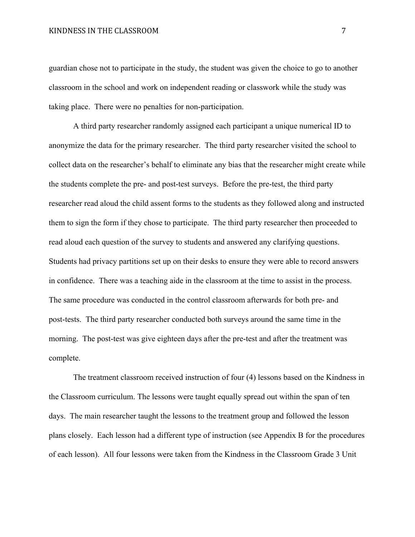guardian chose not to participate in the study, the student was given the choice to go to another classroom in the school and work on independent reading or classwork while the study was taking place. There were no penalties for non-participation.

A third party researcher randomly assigned each participant a unique numerical ID to anonymize the data for the primary researcher. The third party researcher visited the school to collect data on the researcher's behalf to eliminate any bias that the researcher might create while the students complete the pre- and post-test surveys. Before the pre-test, the third party researcher read aloud the child assent forms to the students as they followed along and instructed them to sign the form if they chose to participate. The third party researcher then proceeded to read aloud each question of the survey to students and answered any clarifying questions. Students had privacy partitions set up on their desks to ensure they were able to record answers in confidence. There was a teaching aide in the classroom at the time to assist in the process. The same procedure was conducted in the control classroom afterwards for both pre- and post-tests. The third party researcher conducted both surveys around the same time in the morning. The post-test was give eighteen days after the pre-test and after the treatment was complete.

The treatment classroom received instruction of four (4) lessons based on the Kindness in the Classroom curriculum. The lessons were taught equally spread out within the span of ten days. The main researcher taught the lessons to the treatment group and followed the lesson plans closely. Each lesson had a different type of instruction (see Appendix B for the procedures of each lesson). All four lessons were taken from the Kindness in the Classroom Grade 3 Unit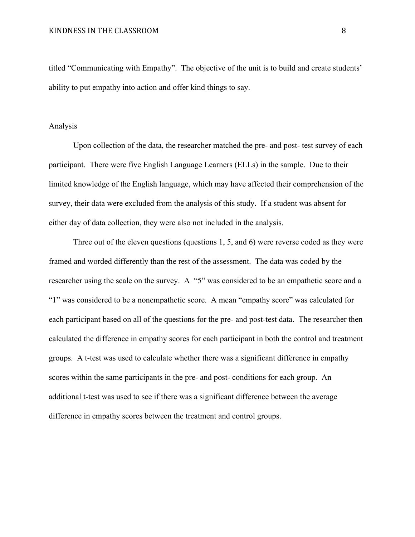titled "Communicating with Empathy". The objective of the unit is to build and create students' ability to put empathy into action and offer kind things to say.

#### Analysis

Upon collection of the data, the researcher matched the pre- and post- test survey of each participant. There were five English Language Learners (ELLs) in the sample. Due to their limited knowledge of the English language, which may have affected their comprehension of the survey, their data were excluded from the analysis of this study. If a student was absent for either day of data collection, they were also not included in the analysis.

Three out of the eleven questions (questions 1, 5, and 6) were reverse coded as they were framed and worded differently than the rest of the assessment. The data was coded by the researcher using the scale on the survey. A "5" was considered to be an empathetic score and a "1" was considered to be a nonempathetic score. A mean "empathy score" was calculated for each participant based on all of the questions for the pre- and post-test data. The researcher then calculated the difference in empathy scores for each participant in both the control and treatment groups. A t-test was used to calculate whether there was a significant difference in empathy scores within the same participants in the pre- and post- conditions for each group. An additional t-test was used to see if there was a significant difference between the average difference in empathy scores between the treatment and control groups.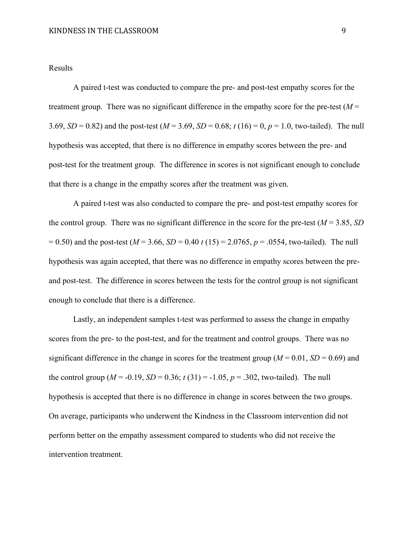#### Results

A paired t-test was conducted to compare the pre- and post-test empathy scores for the treatment group. There was no significant difference in the empathy score for the pre-test  $(M =$ 3.69, *SD* = 0.82) and the post-test ( $M = 3.69$ , *SD* = 0.68;  $t(16) = 0$ ,  $p = 1.0$ , two-tailed). The null hypothesis was accepted, that there is no difference in empathy scores between the pre- and post-test for the treatment group. The difference in scores is not significant enough to conclude that there is a change in the empathy scores after the treatment was given.

A paired t-test was also conducted to compare the pre- and post-test empathy scores for the control group. There was no significant difference in the score for the pre-test (*M* = 3.85, *SD*  $= 0.50$ ) and the post-test ( $M = 3.66$ ,  $SD = 0.40$  t (15) = 2.0765,  $p = .0554$ , two-tailed). The null hypothesis was again accepted, that there was no difference in empathy scores between the preand post-test. The difference in scores between the tests for the control group is not significant enough to conclude that there is a difference.

Lastly, an independent samples t-test was performed to assess the change in empathy scores from the pre- to the post-test, and for the treatment and control groups. There was no significant difference in the change in scores for the treatment group ( $M = 0.01$ ,  $SD = 0.69$ ) and the control group ( $M = -0.19$ ,  $SD = 0.36$ ;  $t(31) = -1.05$ ,  $p = .302$ , two-tailed). The null hypothesis is accepted that there is no difference in change in scores between the two groups. On average, participants who underwent the Kindness in the Classroom intervention did not perform better on the empathy assessment compared to students who did not receive the intervention treatment.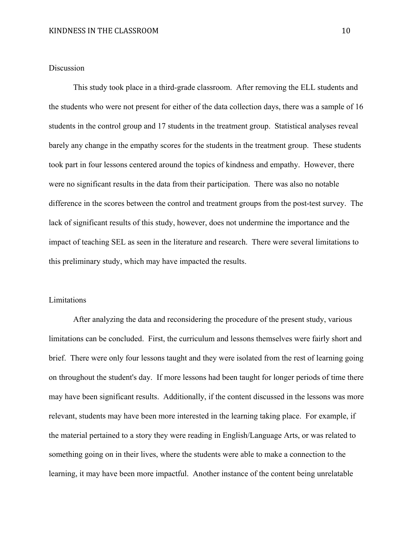#### Discussion

This study took place in a third-grade classroom. After removing the ELL students and the students who were not present for either of the data collection days, there was a sample of 16 students in the control group and 17 students in the treatment group. Statistical analyses reveal barely any change in the empathy scores for the students in the treatment group. These students took part in four lessons centered around the topics of kindness and empathy. However, there were no significant results in the data from their participation. There was also no notable difference in the scores between the control and treatment groups from the post-test survey. The lack of significant results of this study, however, does not undermine the importance and the impact of teaching SEL as seen in the literature and research. There were several limitations to this preliminary study, which may have impacted the results.

#### Limitations

After analyzing the data and reconsidering the procedure of the present study, various limitations can be concluded. First, the curriculum and lessons themselves were fairly short and brief. There were only four lessons taught and they were isolated from the rest of learning going on throughout the student's day. If more lessons had been taught for longer periods of time there may have been significant results. Additionally, if the content discussed in the lessons was more relevant, students may have been more interested in the learning taking place. For example, if the material pertained to a story they were reading in English/Language Arts, or was related to something going on in their lives, where the students were able to make a connection to the learning, it may have been more impactful. Another instance of the content being unrelatable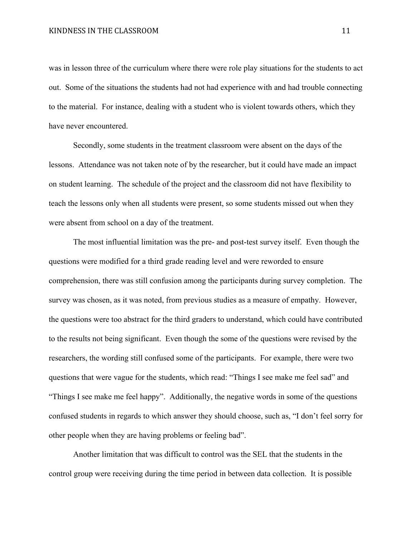was in lesson three of the curriculum where there were role play situations for the students to act out. Some of the situations the students had not had experience with and had trouble connecting to the material. For instance, dealing with a student who is violent towards others, which they have never encountered.

Secondly, some students in the treatment classroom were absent on the days of the lessons. Attendance was not taken note of by the researcher, but it could have made an impact on student learning. The schedule of the project and the classroom did not have flexibility to teach the lessons only when all students were present, so some students missed out when they were absent from school on a day of the treatment.

The most influential limitation was the pre- and post-test survey itself. Even though the questions were modified for a third grade reading level and were reworded to ensure comprehension, there was still confusion among the participants during survey completion. The survey was chosen, as it was noted, from previous studies as a measure of empathy. However, the questions were too abstract for the third graders to understand, which could have contributed to the results not being significant. Even though the some of the questions were revised by the researchers, the wording still confused some of the participants. For example, there were two questions that were vague for the students, which read: "Things I see make me feel sad" and "Things I see make me feel happy". Additionally, the negative words in some of the questions confused students in regards to which answer they should choose, such as, "I don't feel sorry for other people when they are having problems or feeling bad".

Another limitation that was difficult to control was the SEL that the students in the control group were receiving during the time period in between data collection. It is possible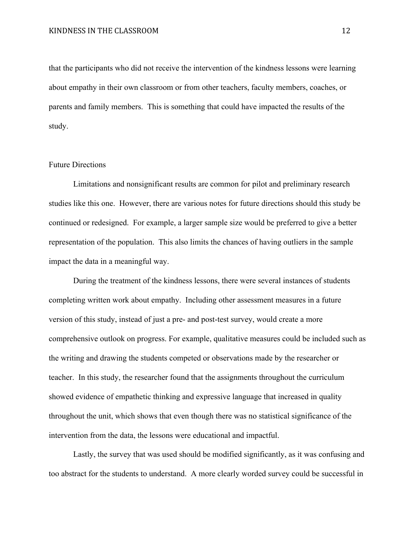that the participants who did not receive the intervention of the kindness lessons were learning about empathy in their own classroom or from other teachers, faculty members, coaches, or parents and family members. This is something that could have impacted the results of the study.

#### Future Directions

Limitations and nonsignificant results are common for pilot and preliminary research studies like this one. However, there are various notes for future directions should this study be continued or redesigned. For example, a larger sample size would be preferred to give a better representation of the population. This also limits the chances of having outliers in the sample impact the data in a meaningful way.

During the treatment of the kindness lessons, there were several instances of students completing written work about empathy. Including other assessment measures in a future version of this study, instead of just a pre- and post-test survey, would create a more comprehensive outlook on progress. For example, qualitative measures could be included such as the writing and drawing the students competed or observations made by the researcher or teacher. In this study, the researcher found that the assignments throughout the curriculum showed evidence of empathetic thinking and expressive language that increased in quality throughout the unit, which shows that even though there was no statistical significance of the intervention from the data, the lessons were educational and impactful.

Lastly, the survey that was used should be modified significantly, as it was confusing and too abstract for the students to understand. A more clearly worded survey could be successful in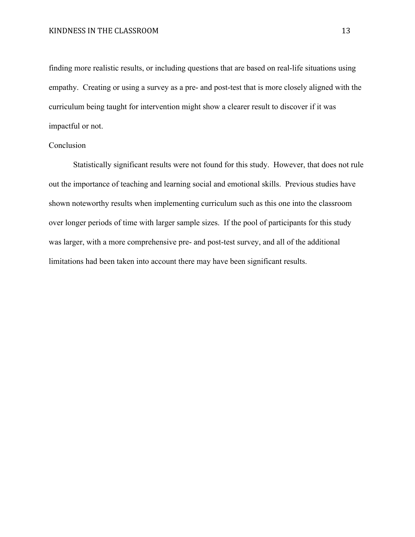finding more realistic results, or including questions that are based on real-life situations using empathy. Creating or using a survey as a pre- and post-test that is more closely aligned with the curriculum being taught for intervention might show a clearer result to discover if it was impactful or not.

#### Conclusion

Statistically significant results were not found for this study. However, that does not rule out the importance of teaching and learning social and emotional skills. Previous studies have shown noteworthy results when implementing curriculum such as this one into the classroom over longer periods of time with larger sample sizes. If the pool of participants for this study was larger, with a more comprehensive pre- and post-test survey, and all of the additional limitations had been taken into account there may have been significant results.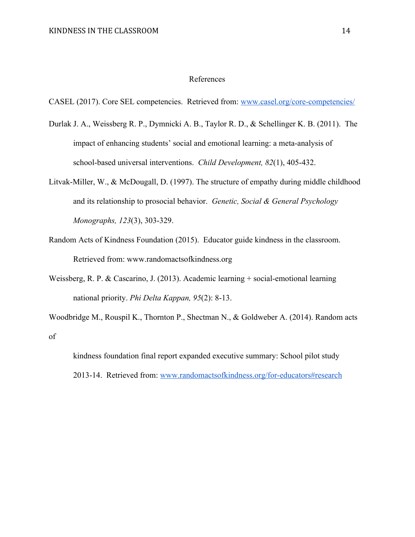#### References

CASEL (2017). Core SEL competencies. Retrieved from: [www.casel.org/core-competencies/](http://www.casel.org/core-competencies/)

- Durlak J. A., Weissberg R. P., Dymnicki A. B., Taylor R. D., & Schellinger K. B. (2011). The impact of enhancing students' social and emotional learning: a meta-analysis of school-based universal interventions. *Child Development, 82*(1), 405-432.
- Litvak-Miller, W., & McDougall, D. (1997). The structure of empathy during middle childhood and its relationship to prosocial behavior. *Genetic, Social & General Psychology Monographs, 123*(3), 303-329.
- Random Acts of Kindness Foundation (2015). Educator guide kindness in the classroom. Retrieved from: www.randomactsofkindness.org
- Weissberg, R. P. & Cascarino, J. (2013). Academic learning + social-emotional learning national priority. *Phi Delta Kappan, 95*(2): 8-13.
- Woodbridge M., Rouspil K., Thornton P., Shectman N., & Goldweber A. (2014). Random acts of

```
kindness foundation final report expanded executive summary: School pilot study
2013-14. Retrieved from: www.randomactsofkindness.org/for-educators#research
```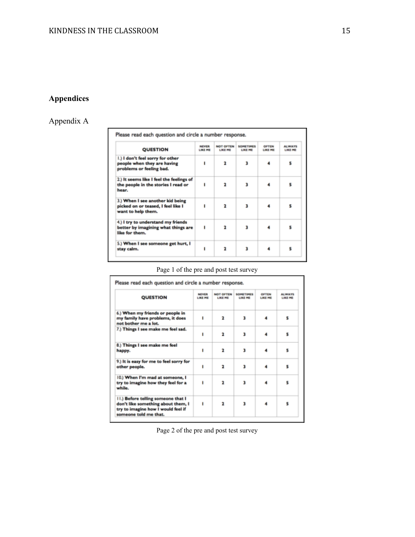## **Appendices**

# Appendix A

| <b>QUESTION</b>                                                                              | NEVER<br><b>LIKE ME</b> | <b>NOT OFTEN</b><br><b>LIKE ME</b> | <b>SOMETIMES</b><br><b>LIKE ME</b> | OFTEN<br>LIKE ME | <b>ALWAYS</b><br><b>LIKE ME</b> |
|----------------------------------------------------------------------------------------------|-------------------------|------------------------------------|------------------------------------|------------------|---------------------------------|
| I.) I don't feel sorry for other<br>people when they are having<br>problems or feeling bad.  |                         | $\overline{\mathbf{z}}$            | 3                                  |                  | 5                               |
| 2.) It seems like I feel the feelings of<br>the people in the stories I read or<br>hear.     |                         | $\overline{\mathbf{z}}$            | 3                                  |                  | 5                               |
| 3.) When I see another kid being<br>picked on or teased, I feel like I<br>want to help them. |                         | $\overline{\mathbf{z}}$            | 3                                  |                  | ς                               |
| 4.) I try to understand my friends<br>better by imagining what things are<br>like for them.  |                         | $\overline{\mathbf{z}}$            | ı                                  |                  |                                 |
| 5.) When I see someone get hurt, I<br>stay calm.                                             |                         | $\overline{\mathbf{r}}$            | 3                                  |                  |                                 |

## Page 1 of the pre and post test survey

| <b>QUESTION</b>                                                                                                                         | <b>NEVER</b><br><b>LIKE ME</b> | <b>NOT OFTEN</b><br><b>LIKE ME</b> | SOMETIMES<br><b>LIKE ME</b> | <b>OFTEN</b><br><b>LIKE ME</b> | <b>ALWAYS</b><br><b>LIKE ME</b> |
|-----------------------------------------------------------------------------------------------------------------------------------------|--------------------------------|------------------------------------|-----------------------------|--------------------------------|---------------------------------|
| 6.) When my friends or people in<br>my family have problems, it does<br>not bother me a lot.                                            | ٠                              | $\overline{\mathbf{r}}$            | 3                           |                                | 5                               |
| 7.) Things I see make me feel sad.                                                                                                      | 1                              | $\overline{\mathbf{r}}$            | 3                           |                                | 5                               |
| 8.) Things I see make me feel<br>happy.                                                                                                 |                                | $\overline{\mathbf{z}}$            | ٦                           |                                | 5                               |
| 9.) It is easy for me to feel sorry for<br>other people.                                                                                |                                | $\overline{\mathbf{z}}$            | ı                           |                                | ε                               |
| 10.) When I'm mad at someone, I<br>try to imagine how they feel for a<br>while.                                                         |                                | $\overline{\mathbf{z}}$            | 3                           |                                | 5                               |
| II.) Before telling someone that I<br>don't like something about them, I<br>try to imagine how I would feel if<br>someone told me that. | 1                              | $\overline{\mathbf{r}}$            | 3                           |                                | 5                               |

Page 2 of the pre and post test survey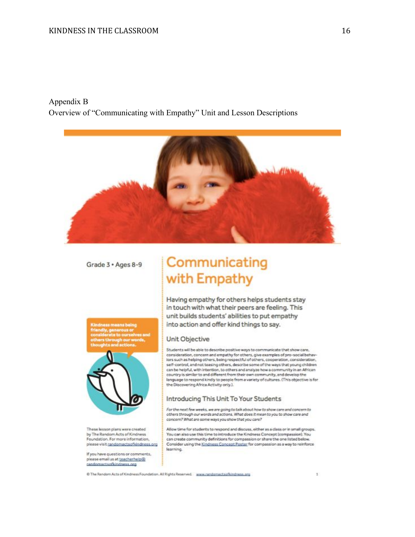#### Appendix B Overview of "Communicating with Empathy" Unit and Lesson Descriptions



Grade 3 · Ages 8-9

# to ourselve



These lesson plans were created by The Random Acts of Kindness<br>Foundation. For more information, please visit randomactsofkindness.org

If you have questions or comments, please email us at teacherhelp@ randomactsofkindness.org

# Communicating with Empathy

Having empathy for others helps students stay in touch with what their peers are feeling. This unit builds students' abilities to put empathy into action and offer kind things to say.

#### Unit Objective

Students will be able to describe positive ways to communicate that show care, consideration, concern and empathy for others, give examples of pro-social behaviors such as helping others, being respectful of others, cooperation, consideration, self-control, and not teasing others, describe some of the ways that young children can be helpful, with intention, to others and analyze how a community in an African<br>country is similar to and different from their own community, and develop the language to respond kindly to people from a variety of cultures. (This objective is for the Discovering Africa Activity only.).

#### Introducing This Unit To Your Students

For the next few weeks, we are going to talk about how to show care and concern to<br>others through our words and actions. What does it mean to you to show care and concern? What are some ways you show that you care?

Allow time for students to respond and discuss, either as a class or in small groups. You can also use this time to introduce the Kindness Concept (compassion). You<br>can create community definitions for compassion or share the one listed below. Consider using the Kindness Concept Poster for compassion as a way to reinforce learning.

@ The Random Acts of Kindness Foundation. All Rights Reserved. press.randomactsofkindness.org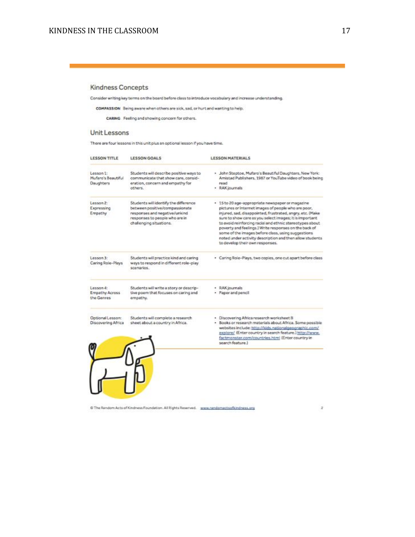#### Kindness Concepts

Consider writing key terms on the board before class to introduce vocabulary and increase understanding.

COMPASSION Being aware when others are sick, sad, or hurt and wanting to help.

CARING Feeling and showing concern for others.

#### Unit Lessons

There are four lessons in this unit plus an optional lesson if you have time.

| Students will describe positive ways to<br>communicate that show care, consid-<br>eration, concern and empethy for<br>read<br>others.<br>· RAK journals<br>Students will identify the difference<br>· 15 to 20 age-appropriate newspaper or magazine<br>between positive/compassionate<br>pictures or internet images of people who are poor,<br>responses and negative/unkind<br>responses to people who are in<br>challenging situations.<br>some of the images before class, using suggestions<br>to develop their own responses.<br>Students will practice kind and caring<br>ways to respond in different role-play<br>scenarios:<br>· RAK journals<br>Students will write a story or descrip-<br>· Paper and pencil<br>tive poem that focuses on caring and<br>empathy.<br>Students will complete a research<br>· Discovering Africa research worksheet B | <b>LESSON TITLE</b>                                 | <b>LESSON GOALS</b>              | <b>LESSON MATERIALS</b>                                                                                                                                                                                                                                                                               |
|-----------------------------------------------------------------------------------------------------------------------------------------------------------------------------------------------------------------------------------------------------------------------------------------------------------------------------------------------------------------------------------------------------------------------------------------------------------------------------------------------------------------------------------------------------------------------------------------------------------------------------------------------------------------------------------------------------------------------------------------------------------------------------------------------------------------------------------------------------------------|-----------------------------------------------------|----------------------------------|-------------------------------------------------------------------------------------------------------------------------------------------------------------------------------------------------------------------------------------------------------------------------------------------------------|
| Lesson 2:<br>Expressing<br>Empathy                                                                                                                                                                                                                                                                                                                                                                                                                                                                                                                                                                                                                                                                                                                                                                                                                              | Lesson 1:<br>Mufero's Beautiful<br><b>Daughters</b> |                                  | · John Steptoe, Mufaro's Beautiful Daughters, New York:<br>Amistad Publishers, 1987 or YouTube video of book being                                                                                                                                                                                    |
|                                                                                                                                                                                                                                                                                                                                                                                                                                                                                                                                                                                                                                                                                                                                                                                                                                                                 |                                                     |                                  | injured, sad, disappointed, frustrated, angry, etc. (Make<br>sure to show care as you select images; it is important<br>to avoid reinforcing racial and ethnic stereotypes about<br>poverty and feelings.) Write responses on the back of<br>noted under activity description and then allow students |
| Lesson 4:<br><b>Empathy Across</b><br>the Genres<br>Optional Lesson:                                                                                                                                                                                                                                                                                                                                                                                                                                                                                                                                                                                                                                                                                                                                                                                            | Lesson 3:<br>Caring Role-Plays                      |                                  | · Caring Role-Plays, two copies, one cut apart before class                                                                                                                                                                                                                                           |
|                                                                                                                                                                                                                                                                                                                                                                                                                                                                                                                                                                                                                                                                                                                                                                                                                                                                 |                                                     |                                  |                                                                                                                                                                                                                                                                                                       |
| factmonster.com/countries.html (Enter country in<br>search feature.)                                                                                                                                                                                                                                                                                                                                                                                                                                                                                                                                                                                                                                                                                                                                                                                            | Discovering Africa                                  | sheet about a country in Africa. | · Books or research materials about Africa. Some possible<br>websites include: http://kids.nationalgeographic.com/<br>explore/ (Enter country in search feature.) http://www.                                                                                                                         |
|                                                                                                                                                                                                                                                                                                                                                                                                                                                                                                                                                                                                                                                                                                                                                                                                                                                                 |                                                     |                                  |                                                                                                                                                                                                                                                                                                       |

C The Random Acts of Kindness Foundation. All Rights Reserved. www.randomactsofkindness.org

 $\mathbf{z}$